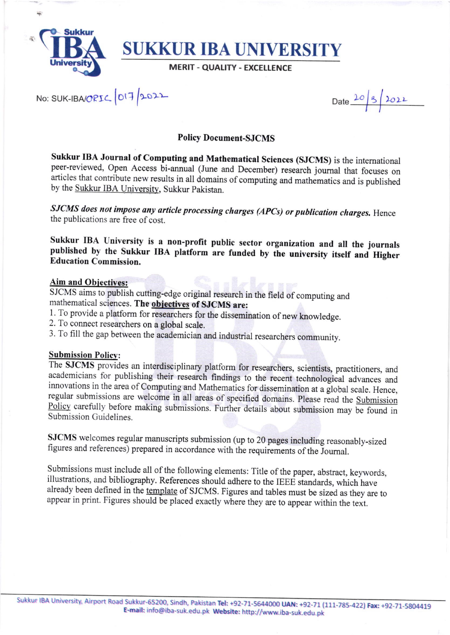

NO: SUK-IBAORIC 017/2022

Date 20 3 2022

## **Policy Document-SJCMS**

Sukkur IBA Journal of Computing and Mathematical Sciences (SJCMS) is the international peer-reviewed, Open Access bi-annual (June and December) research journal that focuses on articles that contribute new results in all domains of computing and mathematics and is published by the Sukkur IBA University, Sukkur Pakistan.

SJCMS does not impose any article processing charges (APCs) or publication charges. Hence the publications are free of cost.

Sukkur IBA University is a non-profit public sector organization and all the journals published by the Sukkur IBA platform are funded by the university itself and Higher **Education Commission.** 

## **Aim and Obiectives:**

SJCMS aims to publish cutting-edge original research in the field of computing and mathematical sciences. The objectives of SJCMS are:

- 1. To provide a platform for researchers for the dissemination of new knowledge.
- 2. To connect researchers on a global scale.
- 3. To fill the gap between the academician and industrial researchers community.

#### **Submission Policy:**

The SJCMS provides an interdisciplinary platform for researchers, scientists, practitioners, and academicians for publishing their research findings to the recent technological advances and innovations in the area of Computing and Mathematics for dissemination at a global scale. Hence, regular submissions are welcome in all areas of specified domains. Please read the Submission Policy carefully before making submissions. Further details about submission may be found in Submission Guidelines.

SJCMS welcomes regular manuscripts submission (up to 20 pages including reasonably-sized figures and references) prepared in accordance with the requirements of the Journal.

Submissions must include all of the following elements: Title of the paper, abstract, keywords, illustrations, and bibliography. References should adhere to the IEEE standards, which have already been defined in the template of SJCMS. Figures and tables must be sized as they are to appear in print. Figures should be placed exactly where they are to appear within the text.